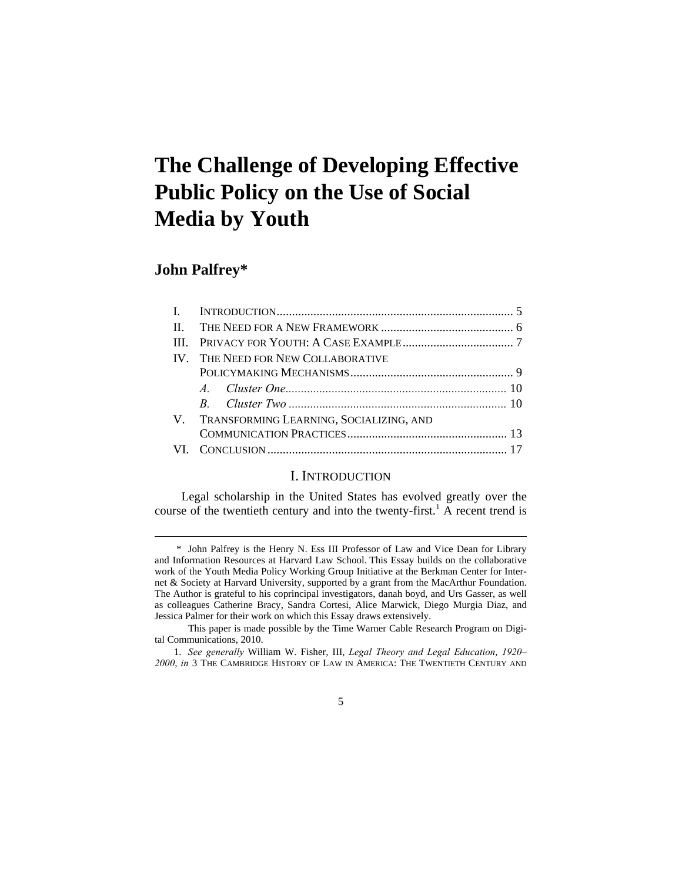# **The Challenge of Developing Effective Public Policy on the Use of Social Media by Youth**

## **John Palfrey\***

 $\overline{a}$ 

|  | IV. THE NEED FOR NEW COLLABORATIVE         |  |
|--|--------------------------------------------|--|
|  |                                            |  |
|  |                                            |  |
|  |                                            |  |
|  | V. TRANSFORMING LEARNING, SOCIALIZING, AND |  |
|  |                                            |  |
|  |                                            |  |

## I. INTRODUCTION

Legal scholarship in the United States has evolved greatly over the course of the twentieth century and into the twenty-first.<sup>1</sup> A recent trend is

 <sup>\*</sup> John Palfrey is the Henry N. Ess III Professor of Law and Vice Dean for Library and Information Resources at Harvard Law School. This Essay builds on the collaborative work of the Youth Media Policy Working Group Initiative at the Berkman Center for Internet & Society at Harvard University, supported by a grant from the MacArthur Foundation. The Author is grateful to his coprincipal investigators, danah boyd, and Urs Gasser, as well as colleagues Catherine Bracy, Sandra Cortesi, Alice Marwick, Diego Murgia Diaz, and Jessica Palmer for their work on which this Essay draws extensively.

This paper is made possible by the Time Warner Cable Research Program on Digital Communications, 2010.

 <sup>1.</sup> *See generally* William W. Fisher, III, *Legal Theory and Legal Education*, *1920– 2000*, *in* 3 THE CAMBRIDGE HISTORY OF LAW IN AMERICA: THE TWENTIETH CENTURY AND

<sup>5</sup>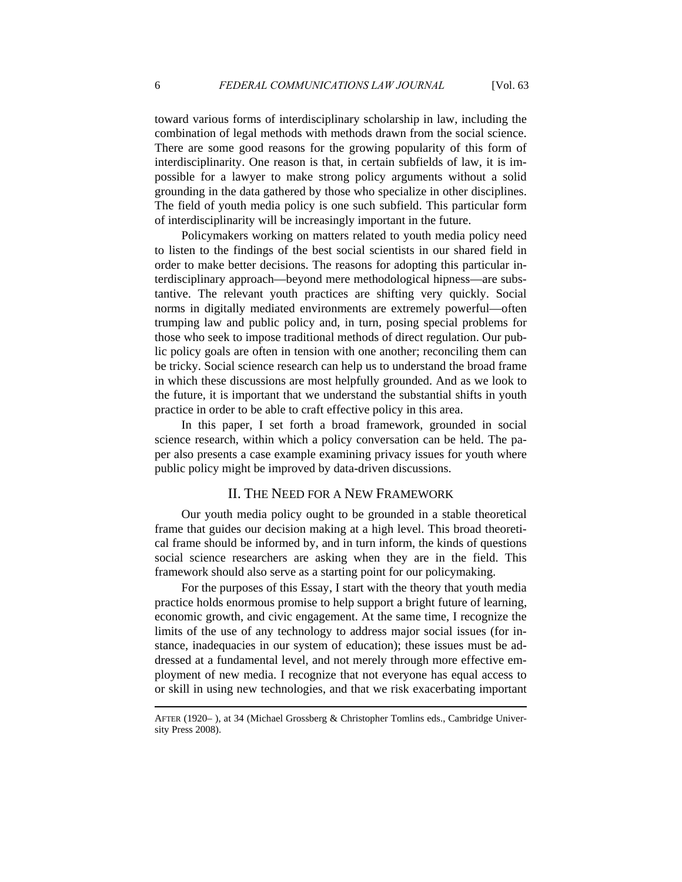toward various forms of interdisciplinary scholarship in law, including the combination of legal methods with methods drawn from the social science. There are some good reasons for the growing popularity of this form of interdisciplinarity. One reason is that, in certain subfields of law, it is impossible for a lawyer to make strong policy arguments without a solid grounding in the data gathered by those who specialize in other disciplines. The field of youth media policy is one such subfield. This particular form of interdisciplinarity will be increasingly important in the future.

Policymakers working on matters related to youth media policy need to listen to the findings of the best social scientists in our shared field in order to make better decisions. The reasons for adopting this particular interdisciplinary approach—beyond mere methodological hipness—are substantive. The relevant youth practices are shifting very quickly. Social norms in digitally mediated environments are extremely powerful—often trumping law and public policy and, in turn, posing special problems for those who seek to impose traditional methods of direct regulation. Our public policy goals are often in tension with one another; reconciling them can be tricky. Social science research can help us to understand the broad frame in which these discussions are most helpfully grounded. And as we look to the future, it is important that we understand the substantial shifts in youth practice in order to be able to craft effective policy in this area.

In this paper, I set forth a broad framework, grounded in social science research, within which a policy conversation can be held. The paper also presents a case example examining privacy issues for youth where public policy might be improved by data-driven discussions.

#### II. THE NEED FOR A NEW FRAMEWORK

Our youth media policy ought to be grounded in a stable theoretical frame that guides our decision making at a high level. This broad theoretical frame should be informed by, and in turn inform, the kinds of questions social science researchers are asking when they are in the field. This framework should also serve as a starting point for our policymaking.

For the purposes of this Essay, I start with the theory that youth media practice holds enormous promise to help support a bright future of learning, economic growth, and civic engagement. At the same time, I recognize the limits of the use of any technology to address major social issues (for instance, inadequacies in our system of education); these issues must be addressed at a fundamental level, and not merely through more effective employment of new media. I recognize that not everyone has equal access to or skill in using new technologies, and that we risk exacerbating important

AFTER (1920– ), at 34 (Michael Grossberg & Christopher Tomlins eds., Cambridge University Press 2008).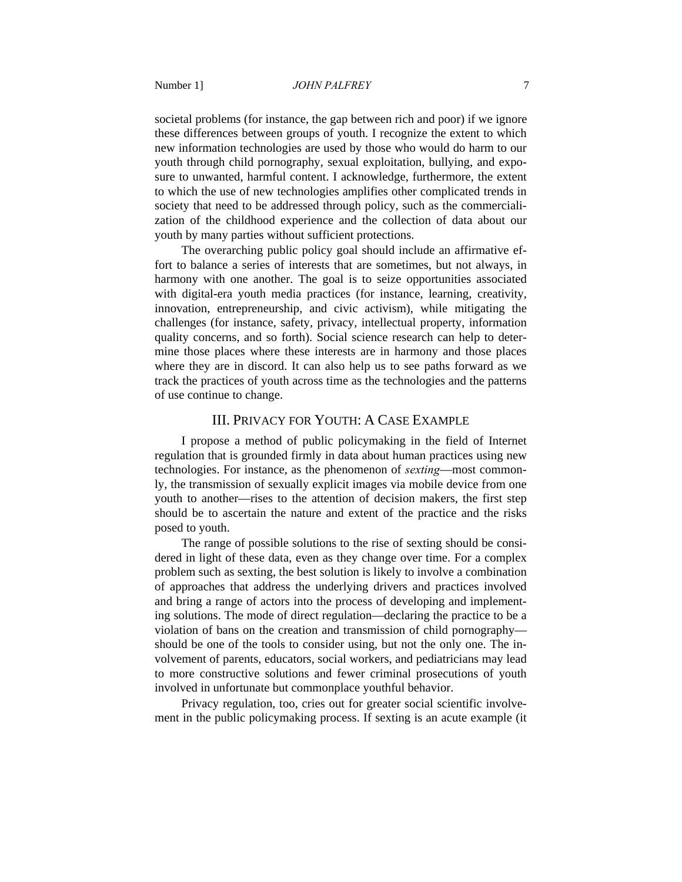societal problems (for instance, the gap between rich and poor) if we ignore these differences between groups of youth. I recognize the extent to which new information technologies are used by those who would do harm to our youth through child pornography, sexual exploitation, bullying, and exposure to unwanted, harmful content. I acknowledge, furthermore, the extent to which the use of new technologies amplifies other complicated trends in society that need to be addressed through policy, such as the commercialization of the childhood experience and the collection of data about our youth by many parties without sufficient protections.

The overarching public policy goal should include an affirmative effort to balance a series of interests that are sometimes, but not always, in harmony with one another. The goal is to seize opportunities associated with digital-era youth media practices (for instance, learning, creativity, innovation, entrepreneurship, and civic activism), while mitigating the challenges (for instance, safety, privacy, intellectual property, information quality concerns, and so forth). Social science research can help to determine those places where these interests are in harmony and those places where they are in discord. It can also help us to see paths forward as we track the practices of youth across time as the technologies and the patterns of use continue to change.

#### III. PRIVACY FOR YOUTH: A CASE EXAMPLE

I propose a method of public policymaking in the field of Internet regulation that is grounded firmly in data about human practices using new technologies. For instance, as the phenomenon of *sexting*—most commonly, the transmission of sexually explicit images via mobile device from one youth to another—rises to the attention of decision makers, the first step should be to ascertain the nature and extent of the practice and the risks posed to youth.

The range of possible solutions to the rise of sexting should be considered in light of these data, even as they change over time. For a complex problem such as sexting, the best solution is likely to involve a combination of approaches that address the underlying drivers and practices involved and bring a range of actors into the process of developing and implementing solutions. The mode of direct regulation—declaring the practice to be a violation of bans on the creation and transmission of child pornography should be one of the tools to consider using, but not the only one. The involvement of parents, educators, social workers, and pediatricians may lead to more constructive solutions and fewer criminal prosecutions of youth involved in unfortunate but commonplace youthful behavior.

Privacy regulation, too, cries out for greater social scientific involvement in the public policymaking process. If sexting is an acute example (it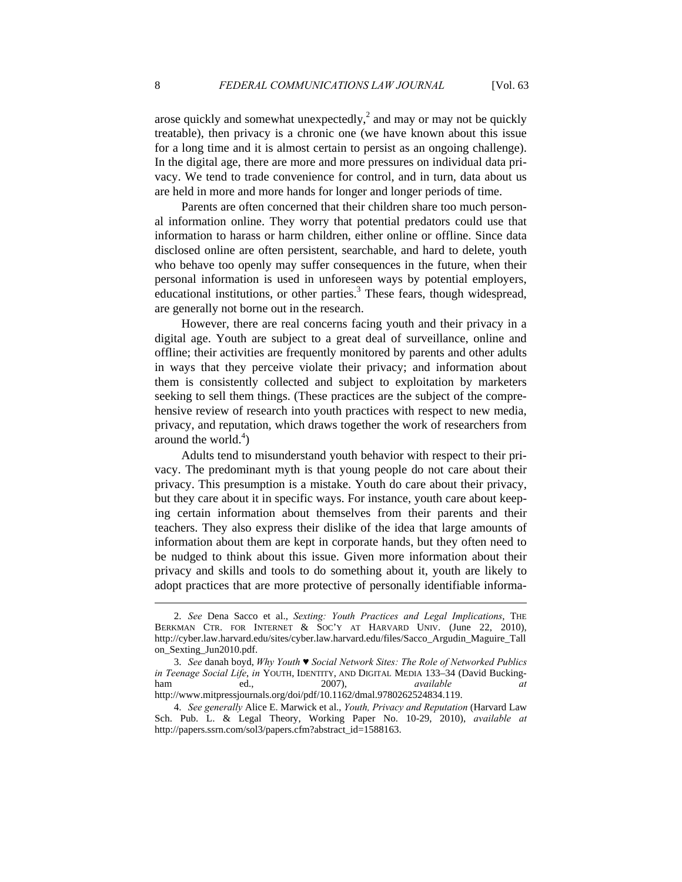arose quickly and somewhat unexpectedly, $^2$  and may or may not be quickly treatable), then privacy is a chronic one (we have known about this issue for a long time and it is almost certain to persist as an ongoing challenge). In the digital age, there are more and more pressures on individual data privacy. We tend to trade convenience for control, and in turn, data about us are held in more and more hands for longer and longer periods of time.

Parents are often concerned that their children share too much personal information online. They worry that potential predators could use that information to harass or harm children, either online or offline. Since data disclosed online are often persistent, searchable, and hard to delete, youth who behave too openly may suffer consequences in the future, when their personal information is used in unforeseen ways by potential employers, educational institutions, or other parties.<sup>3</sup> These fears, though widespread, are generally not borne out in the research.

However, there are real concerns facing youth and their privacy in a digital age. Youth are subject to a great deal of surveillance, online and offline; their activities are frequently monitored by parents and other adults in ways that they perceive violate their privacy; and information about them is consistently collected and subject to exploitation by marketers seeking to sell them things. (These practices are the subject of the comprehensive review of research into youth practices with respect to new media, privacy, and reputation, which draws together the work of researchers from around the world. $4)$ 

Adults tend to misunderstand youth behavior with respect to their privacy. The predominant myth is that young people do not care about their privacy. This presumption is a mistake. Youth do care about their privacy, but they care about it in specific ways. For instance, youth care about keeping certain information about themselves from their parents and their teachers. They also express their dislike of the idea that large amounts of information about them are kept in corporate hands, but they often need to be nudged to think about this issue. Given more information about their privacy and skills and tools to do something about it, youth are likely to adopt practices that are more protective of personally identifiable informa-

 <sup>2.</sup> *See* Dena Sacco et al., *Sexting: Youth Practices and Legal Implications*, THE BERKMAN CTR. FOR INTERNET & SOC'Y AT HARVARD UNIV. (June 22, 2010), http://cyber.law.harvard.edu/sites/cyber.law.harvard.edu/files/Sacco\_Argudin\_Maguire\_Tall on\_Sexting\_Jun2010.pdf.

 <sup>3.</sup> *See* danah boyd, *Why Youth ♥ Social Network Sites: The Role of Networked Publics in Teenage Social Life*, *in* YOUTH, IDENTITY, AND DIGITAL MEDIA 133–34 (David Buckingham ed., 2007), *available at*  http://www.mitpressjournals.org/doi/pdf/10.1162/dmal.9780262524834.119.

 <sup>4.</sup> *See generally* Alice E. Marwick et al., *Youth, Privacy and Reputation* (Harvard Law Sch. Pub. L. & Legal Theory, Working Paper No. 10-29, 2010), *available at* http://papers.ssrn.com/sol3/papers.cfm?abstract\_id=1588163.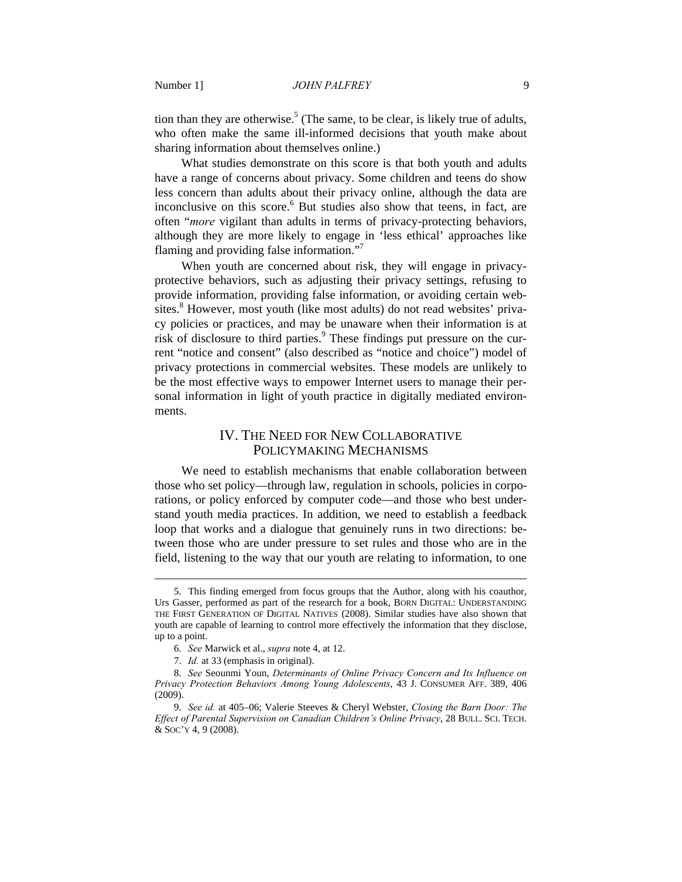tion than they are otherwise.<sup>5</sup> (The same, to be clear, is likely true of adults, who often make the same ill-informed decisions that youth make about sharing information about themselves online.)

What studies demonstrate on this score is that both youth and adults have a range of concerns about privacy. Some children and teens do show less concern than adults about their privacy online, although the data are inconclusive on this score.<sup>6</sup> But studies also show that teens, in fact, are often "*more* vigilant than adults in terms of privacy-protecting behaviors, although they are more likely to engage in 'less ethical' approaches like flaming and providing false information."7

When youth are concerned about risk, they will engage in privacyprotective behaviors, such as adjusting their privacy settings, refusing to provide information, providing false information, or avoiding certain websites.<sup>8</sup> However, most youth (like most adults) do not read websites' privacy policies or practices, and may be unaware when their information is at risk of disclosure to third parties.<sup>9</sup> These findings put pressure on the current "notice and consent" (also described as "notice and choice") model of privacy protections in commercial websites. These models are unlikely to be the most effective ways to empower Internet users to manage their personal information in light of youth practice in digitally mediated environments.

## IV. THE NEED FOR NEW COLLABORATIVE POLICYMAKING MECHANISMS

We need to establish mechanisms that enable collaboration between those who set policy—through law, regulation in schools, policies in corporations, or policy enforced by computer code—and those who best understand youth media practices. In addition, we need to establish a feedback loop that works and a dialogue that genuinely runs in two directions: between those who are under pressure to set rules and those who are in the field, listening to the way that our youth are relating to information, to one

 <sup>5.</sup> This finding emerged from focus groups that the Author, along with his coauthor, Urs Gasser, performed as part of the research for a book, BORN DIGITAL: UNDERSTANDING THE FIRST GENERATION OF DIGITAL NATIVES (2008). Similar studies have also shown that youth are capable of learning to control more effectively the information that they disclose, up to a point.

 <sup>6.</sup> *See* Marwick et al., *supra* note 4, at 12.

 <sup>7.</sup> *Id.* at 33 (emphasis in original).

 <sup>8.</sup> *See* Seounmi Youn, *Determinants of Online Privacy Concern and Its Influence on Privacy Protection Behaviors Among Young Adolescents*, 43 J. CONSUMER AFF. 389, 406 (2009).

 <sup>9.</sup> *See id.* at 405–06; Valerie Steeves & Cheryl Webster, *Closing the Barn Door: The Effect of Parental Supervision on Canadian Children's Online Privacy*, 28 BULL. SCI. TECH. & SOC'Y 4, 9 (2008).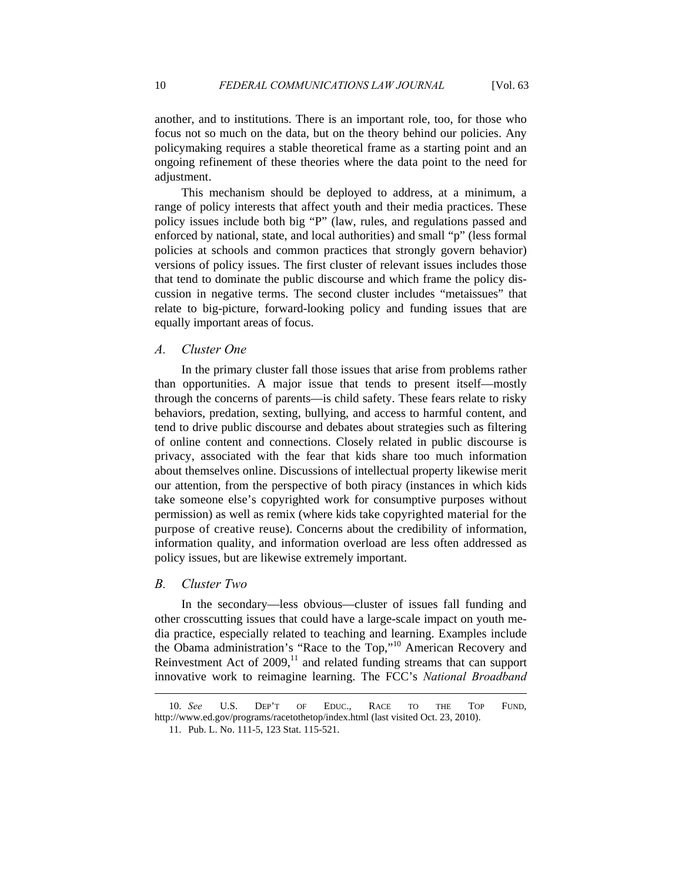another, and to institutions. There is an important role, too, for those who focus not so much on the data, but on the theory behind our policies. Any policymaking requires a stable theoretical frame as a starting point and an ongoing refinement of these theories where the data point to the need for adjustment.

This mechanism should be deployed to address, at a minimum, a range of policy interests that affect youth and their media practices. These policy issues include both big "P" (law, rules, and regulations passed and enforced by national, state, and local authorities) and small "p" (less formal policies at schools and common practices that strongly govern behavior) versions of policy issues. The first cluster of relevant issues includes those that tend to dominate the public discourse and which frame the policy discussion in negative terms. The second cluster includes "metaissues" that relate to big-picture, forward-looking policy and funding issues that are equally important areas of focus.

## *A. Cluster One*

In the primary cluster fall those issues that arise from problems rather than opportunities. A major issue that tends to present itself—mostly through the concerns of parents—is child safety. These fears relate to risky behaviors, predation, sexting, bullying, and access to harmful content, and tend to drive public discourse and debates about strategies such as filtering of online content and connections. Closely related in public discourse is privacy, associated with the fear that kids share too much information about themselves online. Discussions of intellectual property likewise merit our attention, from the perspective of both piracy (instances in which kids take someone else's copyrighted work for consumptive purposes without permission) as well as remix (where kids take copyrighted material for the purpose of creative reuse). Concerns about the credibility of information, information quality, and information overload are less often addressed as policy issues, but are likewise extremely important.

#### *B. Cluster Two*

 $\overline{a}$ 

In the secondary—less obvious—cluster of issues fall funding and other crosscutting issues that could have a large-scale impact on youth media practice, especially related to teaching and learning. Examples include the Obama administration's "Race to the Top,"10 American Recovery and Reinvestment Act of  $2009$ ,<sup>11</sup> and related funding streams that can support innovative work to reimagine learning. The FCC's *National Broadband* 

 <sup>10.</sup> *See* U.S. DEP'T OF EDUC., RACE TO THE TOP FUND, http://www.ed.gov/programs/racetothetop/index.html (last visited Oct. 23, 2010).

 <sup>11.</sup> Pub. L. No. 111-5, 123 Stat. 115-521.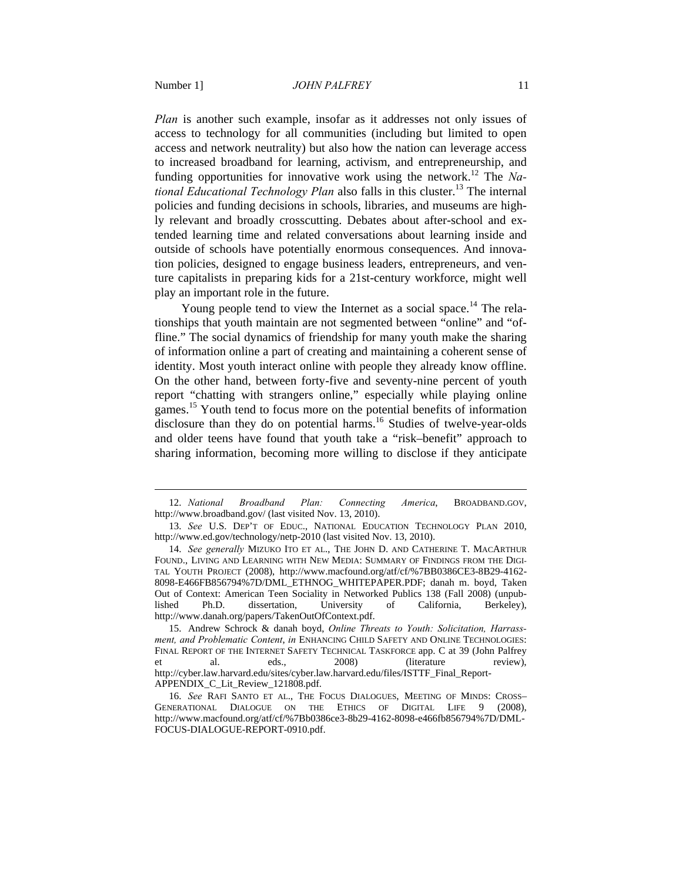$\overline{a}$ 

*Plan* is another such example, insofar as it addresses not only issues of access to technology for all communities (including but limited to open access and network neutrality) but also how the nation can leverage access to increased broadband for learning, activism, and entrepreneurship, and funding opportunities for innovative work using the network.12 The *National Educational Technology Plan* also falls in this cluster.13 The internal policies and funding decisions in schools, libraries, and museums are highly relevant and broadly crosscutting. Debates about after-school and extended learning time and related conversations about learning inside and outside of schools have potentially enormous consequences. And innovation policies, designed to engage business leaders, entrepreneurs, and venture capitalists in preparing kids for a 21st-century workforce, might well play an important role in the future.

Young people tend to view the Internet as a social space.<sup>14</sup> The relationships that youth maintain are not segmented between "online" and "offline." The social dynamics of friendship for many youth make the sharing of information online a part of creating and maintaining a coherent sense of identity. Most youth interact online with people they already know offline. On the other hand, between forty-five and seventy-nine percent of youth report "chatting with strangers online," especially while playing online games.<sup>15</sup> Youth tend to focus more on the potential benefits of information disclosure than they do on potential harms.<sup>16</sup> Studies of twelve-year-olds and older teens have found that youth take a "risk–benefit" approach to sharing information, becoming more willing to disclose if they anticipate

 <sup>12.</sup> *National Broadband Plan: Connecting America*, BROADBAND.GOV, http://www.broadband.gov/ (last visited Nov. 13, 2010).

 <sup>13.</sup> *See* U.S. DEP'T OF EDUC., NATIONAL EDUCATION TECHNOLOGY PLAN 2010, http://www.ed.gov/technology/netp-2010 (last visited Nov. 13, 2010).

 <sup>14.</sup> *See generally* MIZUKO ITO ET AL., THE JOHN D. AND CATHERINE T. MACARTHUR FOUND., LIVING AND LEARNING WITH NEW MEDIA: SUMMARY OF FINDINGS FROM THE DIGI-TAL YOUTH PROJECT (2008), http://www.macfound.org/atf/cf/%7BB0386CE3-8B29-4162- 8098-E466FB856794%7D/DML\_ETHNOG\_WHITEPAPER.PDF; danah m. boyd, Taken Out of Context: American Teen Sociality in Networked Publics 138 (Fall 2008) (unpublished Ph.D. dissertation, University of California, Berkeley), http://www.danah.org/papers/TakenOutOfContext.pdf.

 <sup>15.</sup> Andrew Schrock & danah boyd, *Online Threats to Youth: Solicitation, Harrassment, and Problematic Content*, *in* ENHANCING CHILD SAFETY AND ONLINE TECHNOLOGIES: FINAL REPORT OF THE INTERNET SAFETY TECHNICAL TASKFORCE app. C at 39 (John Palfrey et al. eds., 2008) (literature review), http://cyber.law.harvard.edu/sites/cyber.law.harvard.edu/files/ISTTF\_Final\_Report-APPENDIX\_C\_Lit\_Review\_121808.pdf.

 <sup>16.</sup> *See* RAFI SANTO ET AL., THE FOCUS DIALOGUES, MEETING OF MINDS: CROSS– GENERATIONAL DIALOGUE ON THE ETHICS OF DIGITAL LIFE 9 (2008), http://www.macfound.org/atf/cf/%7Bb0386ce3-8b29-4162-8098-e466fb856794%7D/DML-FOCUS-DIALOGUE-REPORT-0910.pdf.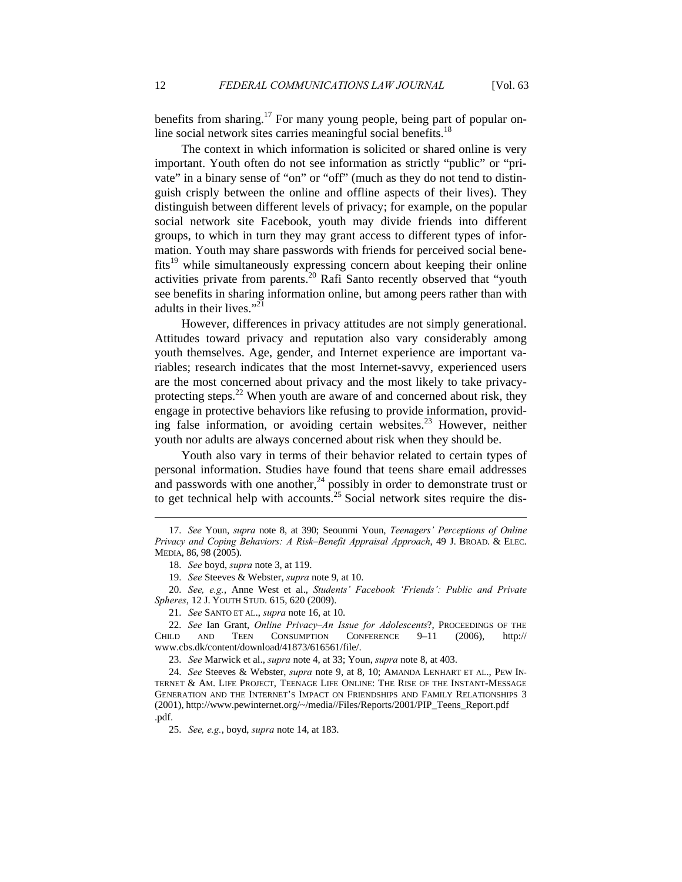benefits from sharing.<sup>17</sup> For many young people, being part of popular online social network sites carries meaningful social benefits. $18$ 

The context in which information is solicited or shared online is very important. Youth often do not see information as strictly "public" or "private" in a binary sense of "on" or "off" (much as they do not tend to distinguish crisply between the online and offline aspects of their lives). They distinguish between different levels of privacy; for example, on the popular social network site Facebook, youth may divide friends into different groups, to which in turn they may grant access to different types of information. Youth may share passwords with friends for perceived social bene $fits<sup>19</sup>$  while simultaneously expressing concern about keeping their online activities private from parents.<sup>20</sup> Rafi Santo recently observed that "youth see benefits in sharing information online, but among peers rather than with adults in their lives."<sup>21</sup>

However, differences in privacy attitudes are not simply generational. Attitudes toward privacy and reputation also vary considerably among youth themselves. Age, gender, and Internet experience are important variables; research indicates that the most Internet-savvy, experienced users are the most concerned about privacy and the most likely to take privacyprotecting steps.<sup>22</sup> When youth are aware of and concerned about risk, they engage in protective behaviors like refusing to provide information, providing false information, or avoiding certain websites.<sup>23</sup> However, neither youth nor adults are always concerned about risk when they should be.

Youth also vary in terms of their behavior related to certain types of personal information. Studies have found that teens share email addresses and passwords with one another, $^{24}$  possibly in order to demonstrate trust or to get technical help with accounts.<sup>25</sup> Social network sites require the dis-

 20. *See, e.g.*, Anne West et al., *Students' Facebook 'Friends': Public and Private Spheres*, 12 J. YOUTH STUD. 615, 620 (2009).

 <sup>17.</sup> *See* Youn, *supra* note 8, at 390; Seounmi Youn, *Teenagers' Perceptions of Online Privacy and Coping Behaviors: A Risk–Benefit Appraisal Approach*, 49 J. BROAD. & ELEC. MEDIA, 86, 98 (2005).

 <sup>18.</sup> *See* boyd, *supra* note 3, at 119.

 <sup>19.</sup> *See* Steeves & Webster, *supra* note 9, at 10.

 <sup>21.</sup> *See* SANTO ET AL., *supra* note 16, at 10.

 <sup>22.</sup> *See* Ian Grant, *Online Privacy–An Issue for Adolescents*?, PROCEEDINGS OF THE CHILD AND TEEN CONSUMPTION CONFERENCE 9–11 (2006), http:// www.cbs.dk/content/download/41873/616561/file/.

 <sup>23.</sup> *See* Marwick et al., *supra* note 4, at 33; Youn, *supra* note 8, at 403.

 <sup>24.</sup> *See* Steeves & Webster, *supra* note 9, at 8, 10; AMANDA LENHART ET AL., PEW IN-TERNET & AM. LIFE PROJECT, TEENAGE LIFE ONLINE: THE RISE OF THE INSTANT-MESSAGE GENERATION AND THE INTERNET'S IMPACT ON FRIENDSHIPS AND FAMILY RELATIONSHIPS 3 (2001), http://www.pewinternet.org/~/media//Files/Reports/2001/PIP\_Teens\_Report.pdf .pdf.

 <sup>25.</sup> *See, e.g.*, boyd, *supra* note 14, at 183.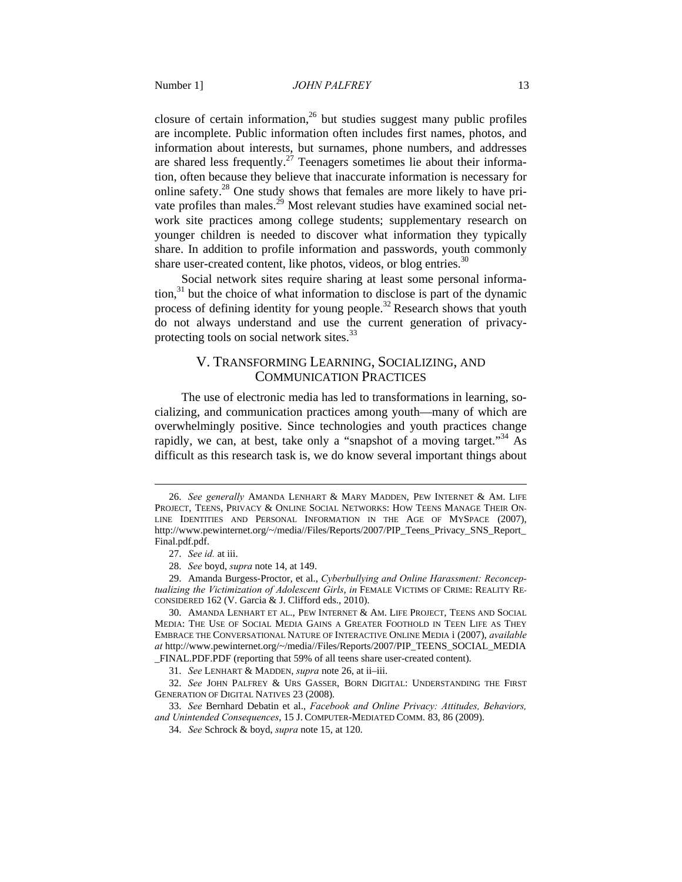closure of certain information, $26$  but studies suggest many public profiles are incomplete. Public information often includes first names, photos, and information about interests, but surnames, phone numbers, and addresses are shared less frequently.<sup>27</sup> Teenagers sometimes lie about their information, often because they believe that inaccurate information is necessary for online safety. $^{28}$  One study shows that females are more likely to have private profiles than males.<sup>29</sup> Most relevant studies have examined social network site practices among college students; supplementary research on younger children is needed to discover what information they typically share. In addition to profile information and passwords, youth commonly share user-created content, like photos, videos, or blog entries. $30$ 

Social network sites require sharing at least some personal information, $31$  but the choice of what information to disclose is part of the dynamic process of defining identity for young people.<sup>32</sup> Research shows that youth do not always understand and use the current generation of privacyprotecting tools on social network sites.<sup>33</sup>

## V. TRANSFORMING LEARNING, SOCIALIZING, AND COMMUNICATION PRACTICES

The use of electronic media has led to transformations in learning, socializing, and communication practices among youth—many of which are overwhelmingly positive. Since technologies and youth practices change rapidly, we can, at best, take only a "snapshot of a moving target."<sup>34</sup> As difficult as this research task is, we do know several important things about

 <sup>26.</sup> *See generally* AMANDA LENHART & MARY MADDEN, PEW INTERNET & AM. LIFE PROJECT, TEENS, PRIVACY & ONLINE SOCIAL NETWORKS: HOW TEENS MANAGE THEIR ON-LINE IDENTITIES AND PERSONAL INFORMATION IN THE AGE OF MYSPACE (2007), http://www.pewinternet.org/~/media//Files/Reports/2007/PIP\_Teens\_Privacy\_SNS\_Report\_ Final.pdf.pdf.

 <sup>27.</sup> *See id.* at iii.

 <sup>28.</sup> *See* boyd, *supra* note 14, at 149.

 <sup>29.</sup> Amanda Burgess-Proctor, et al., *Cyberbullying and Online Harassment: Reconceptualizing the Victimization of Adolescent Girls*, *in* FEMALE VICTIMS OF CRIME: REALITY RE-CONSIDERED 162 (V. Garcia & J. Clifford eds., 2010).

 <sup>30.</sup> AMANDA LENHART ET AL., PEW INTERNET & AM. LIFE PROJECT, TEENS AND SOCIAL MEDIA: THE USE OF SOCIAL MEDIA GAINS A GREATER FOOTHOLD IN TEEN LIFE AS THEY EMBRACE THE CONVERSATIONAL NATURE OF INTERACTIVE ONLINE MEDIA i (2007), *available at* http://www.pewinternet.org/~/media//Files/Reports/2007/PIP\_TEENS\_SOCIAL\_MEDIA \_FINAL.PDF.PDF (reporting that 59% of all teens share user-created content).

 <sup>31.</sup> *See* LENHART & MADDEN, *supra* note 26, at ii–iii.

 <sup>32.</sup> *See* JOHN PALFREY & URS GASSER, BORN DIGITAL: UNDERSTANDING THE FIRST GENERATION OF DIGITAL NATIVES 23 (2008).

 <sup>33.</sup> *See* Bernhard Debatin et al., *Facebook and Online Privacy: Attitudes, Behaviors, and Unintended Consequences*, 15 J. COMPUTER-MEDIATED COMM. 83, 86 (2009).

 <sup>34.</sup> *See* Schrock & boyd, *supra* note 15, at 120.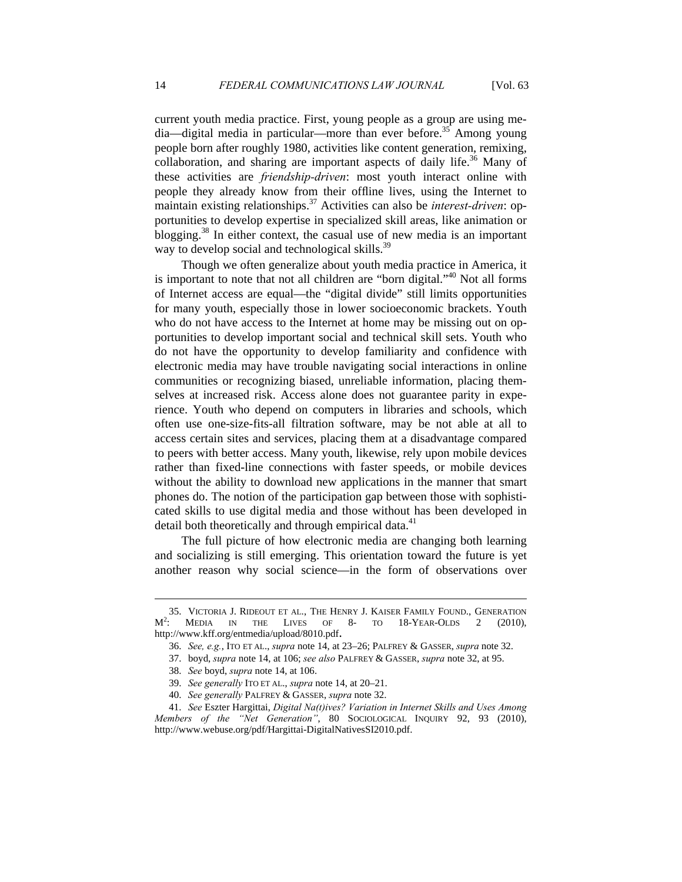current youth media practice. First, young people as a group are using me $dia$ —digital media in particular—more than ever before.<sup>35</sup> Among young people born after roughly 1980, activities like content generation, remixing, collaboration, and sharing are important aspects of daily life.<sup>36</sup> Many of these activities are *friendship-driven*: most youth interact online with people they already know from their offline lives, using the Internet to maintain existing relationships.37 Activities can also be *interest-driven*: opportunities to develop expertise in specialized skill areas, like animation or blogging.<sup>38</sup> In either context, the casual use of new media is an important way to develop social and technological skills.<sup>39</sup>

Though we often generalize about youth media practice in America, it is important to note that not all children are "born digital."<sup>40</sup> Not all forms of Internet access are equal—the "digital divide" still limits opportunities for many youth, especially those in lower socioeconomic brackets. Youth who do not have access to the Internet at home may be missing out on opportunities to develop important social and technical skill sets. Youth who do not have the opportunity to develop familiarity and confidence with electronic media may have trouble navigating social interactions in online communities or recognizing biased, unreliable information, placing themselves at increased risk. Access alone does not guarantee parity in experience. Youth who depend on computers in libraries and schools, which often use one-size-fits-all filtration software, may be not able at all to access certain sites and services, placing them at a disadvantage compared to peers with better access. Many youth, likewise, rely upon mobile devices rather than fixed-line connections with faster speeds, or mobile devices without the ability to download new applications in the manner that smart phones do. The notion of the participation gap between those with sophisticated skills to use digital media and those without has been developed in detail both theoretically and through empirical data.<sup>41</sup>

The full picture of how electronic media are changing both learning and socializing is still emerging. This orientation toward the future is yet another reason why social science—in the form of observations over

 <sup>35.</sup> VICTORIA J. RIDEOUT ET AL., THE HENRY J. KAISER FAMILY FOUND., GENERATION  $M^2$ : Media in the Lives of 8- to 18-Year-Olds 2 (2010), http://www.kff.org/entmedia/upload/8010.pdf. 36. *See, e.g.*, ITO ET AL., *supra* note 14, at 23–26; PALFREY & GASSER, *supra* note 32.

 <sup>37.</sup> boyd, *supra* note 14, at 106; *see also* PALFREY & GASSER, *supra* note 32, at 95.

 <sup>38.</sup> *See* boyd, *supra* note 14, at 106.

 <sup>39.</sup> *See generally* ITO ET AL., *supra* note 14, at 20–21.

 <sup>40.</sup> *See generally* PALFREY & GASSER, *supra* note 32.

 <sup>41.</sup> *See* Eszter Hargittai, *Digital Na(t)ives? Variation in Internet Skills and Uses Among Members of the "Net Generation"*, 80 SOCIOLOGICAL INQUIRY 92, 93 (2010), http://www.webuse.org/pdf/Hargittai-DigitalNativesSI2010.pdf.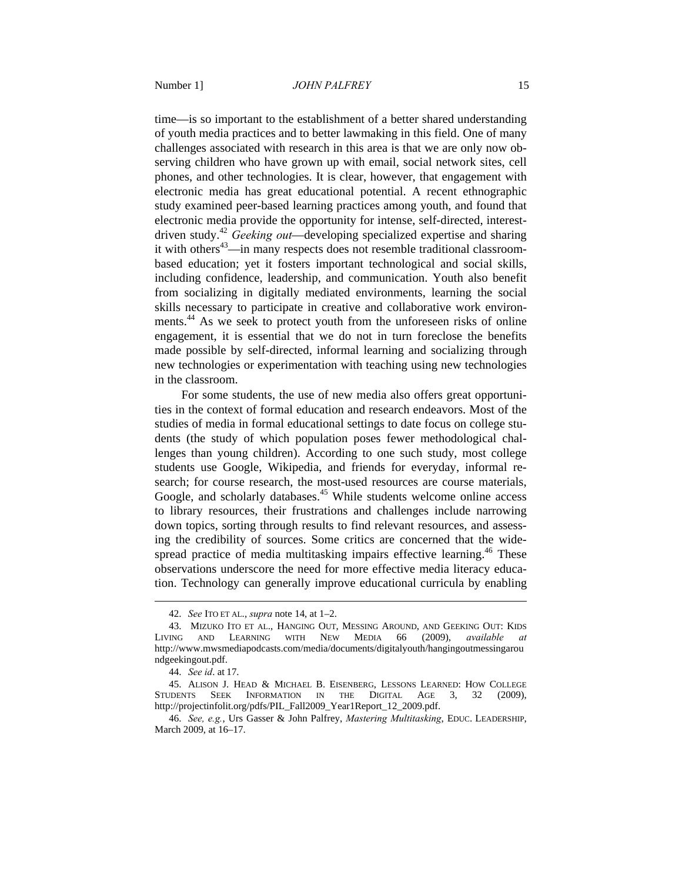time—is so important to the establishment of a better shared understanding of youth media practices and to better lawmaking in this field. One of many challenges associated with research in this area is that we are only now observing children who have grown up with email, social network sites, cell phones, and other technologies. It is clear, however, that engagement with electronic media has great educational potential. A recent ethnographic study examined peer-based learning practices among youth, and found that electronic media provide the opportunity for intense, self-directed, interestdriven study.42 *Geeking out*—developing specialized expertise and sharing it with others<sup>43</sup>—in many respects does not resemble traditional classroombased education; yet it fosters important technological and social skills, including confidence, leadership, and communication. Youth also benefit from socializing in digitally mediated environments, learning the social skills necessary to participate in creative and collaborative work environments.<sup>44</sup> As we seek to protect youth from the unforeseen risks of online engagement, it is essential that we do not in turn foreclose the benefits made possible by self-directed, informal learning and socializing through new technologies or experimentation with teaching using new technologies in the classroom.

For some students, the use of new media also offers great opportunities in the context of formal education and research endeavors. Most of the studies of media in formal educational settings to date focus on college students (the study of which population poses fewer methodological challenges than young children). According to one such study, most college students use Google, Wikipedia, and friends for everyday, informal research; for course research, the most-used resources are course materials, Google, and scholarly databases.<sup>45</sup> While students welcome online access to library resources, their frustrations and challenges include narrowing down topics, sorting through results to find relevant resources, and assessing the credibility of sources. Some critics are concerned that the widespread practice of media multitasking impairs effective learning.<sup>46</sup> These observations underscore the need for more effective media literacy education. Technology can generally improve educational curricula by enabling

 <sup>42.</sup> *See* ITO ET AL., *supra* note 14, at 1–2.

 <sup>43.</sup> MIZUKO ITO ET AL., HANGING OUT, MESSING AROUND, AND GEEKING OUT: KIDS LIVING AND LEARNING WITH NEW MEDIA 66 (2009), *available at*  http://www.mwsmediapodcasts.com/media/documents/digitalyouth/hangingoutmessingarou ndgeekingout.pdf.

 <sup>44.</sup> *See id*. at 17.

 <sup>45.</sup> ALISON J. HEAD & MICHAEL B. EISENBERG, LESSONS LEARNED: HOW COLLEGE STUDENTS SEEK INFORMATION IN THE DIGITAL AGE 3, 32 (2009), http://projectinfolit.org/pdfs/PIL\_Fall2009\_Year1Report\_12\_2009.pdf.

 <sup>46.</sup> *See, e.g.*, Urs Gasser & John Palfrey, *Mastering Multitasking*, EDUC. LEADERSHIP, March 2009, at 16–17.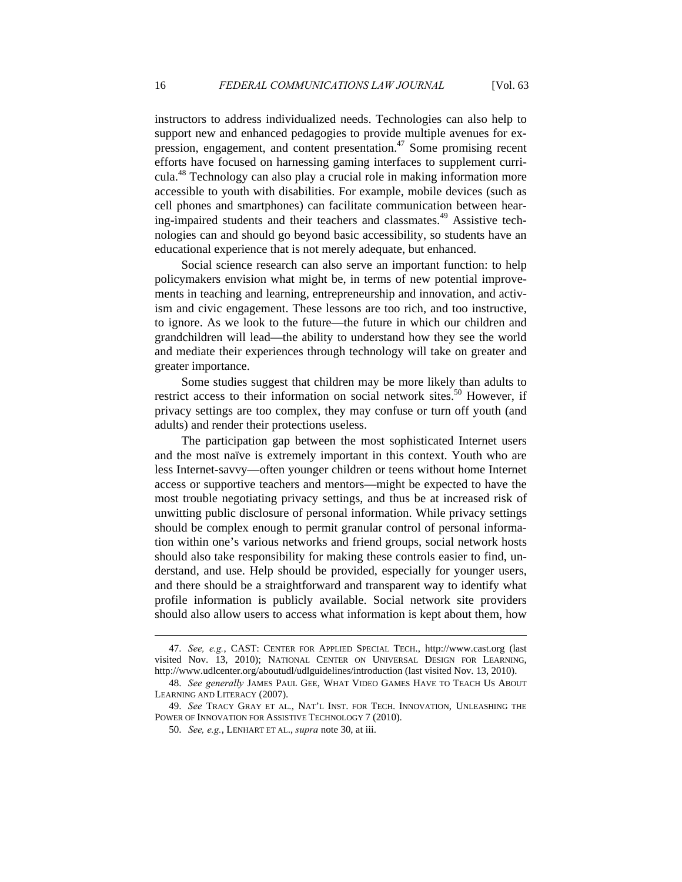instructors to address individualized needs. Technologies can also help to support new and enhanced pedagogies to provide multiple avenues for expression, engagement, and content presentation.47 Some promising recent efforts have focused on harnessing gaming interfaces to supplement curricula.48 Technology can also play a crucial role in making information more accessible to youth with disabilities. For example, mobile devices (such as cell phones and smartphones) can facilitate communication between hearing-impaired students and their teachers and classmates.<sup>49</sup> Assistive technologies can and should go beyond basic accessibility, so students have an educational experience that is not merely adequate, but enhanced.

Social science research can also serve an important function: to help policymakers envision what might be, in terms of new potential improvements in teaching and learning, entrepreneurship and innovation, and activism and civic engagement. These lessons are too rich, and too instructive, to ignore. As we look to the future—the future in which our children and grandchildren will lead—the ability to understand how they see the world and mediate their experiences through technology will take on greater and greater importance.

Some studies suggest that children may be more likely than adults to restrict access to their information on social network sites.<sup>50</sup> However, if privacy settings are too complex, they may confuse or turn off youth (and adults) and render their protections useless.

The participation gap between the most sophisticated Internet users and the most naïve is extremely important in this context. Youth who are less Internet-savvy—often younger children or teens without home Internet access or supportive teachers and mentors—might be expected to have the most trouble negotiating privacy settings, and thus be at increased risk of unwitting public disclosure of personal information. While privacy settings should be complex enough to permit granular control of personal information within one's various networks and friend groups, social network hosts should also take responsibility for making these controls easier to find, understand, and use. Help should be provided, especially for younger users, and there should be a straightforward and transparent way to identify what profile information is publicly available. Social network site providers should also allow users to access what information is kept about them, how

 <sup>47.</sup> *See, e.g.*, CAST: CENTER FOR APPLIED SPECIAL TECH., http://www.cast.org (last visited Nov. 13, 2010); NATIONAL CENTER ON UNIVERSAL DESIGN FOR LEARNING, http://www.udlcenter.org/aboutudl/udlguidelines/introduction (last visited Nov. 13, 2010).

 <sup>48.</sup> *See generally* JAMES PAUL GEE, WHAT VIDEO GAMES HAVE TO TEACH US ABOUT LEARNING AND LITERACY (2007).

 <sup>49.</sup> *See* TRACY GRAY ET AL., NAT'L INST. FOR TECH. INNOVATION, UNLEASHING THE POWER OF INNOVATION FOR ASSISTIVE TECHNOLOGY 7 (2010).

 <sup>50.</sup> *See, e.g.*, LENHART ET AL., *supra* note 30, at iii.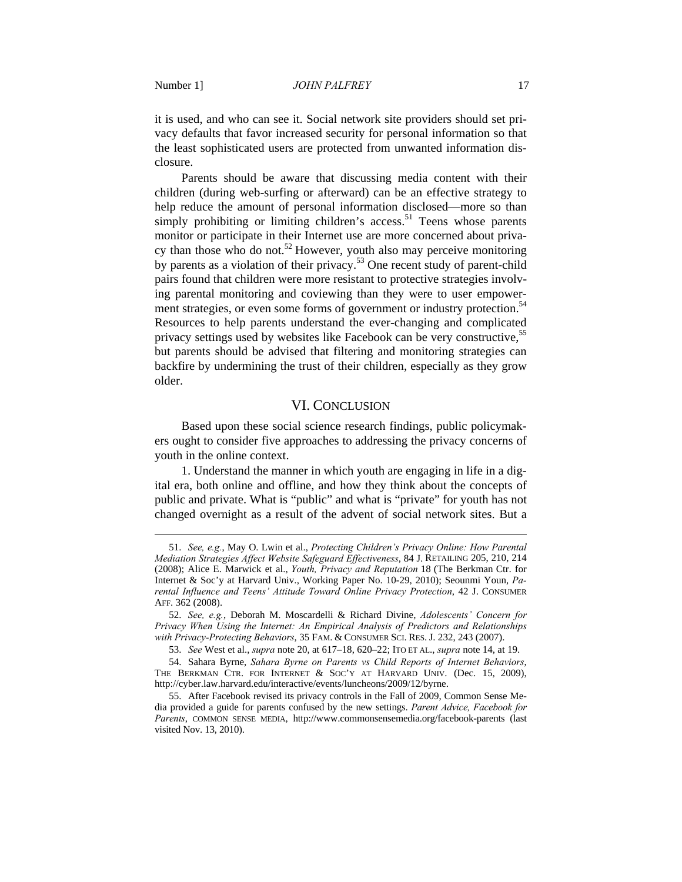$\overline{a}$ 

it is used, and who can see it. Social network site providers should set privacy defaults that favor increased security for personal information so that the least sophisticated users are protected from unwanted information disclosure.

Parents should be aware that discussing media content with their children (during web-surfing or afterward) can be an effective strategy to help reduce the amount of personal information disclosed—more so than simply prohibiting or limiting children's access.<sup>51</sup> Teens whose parents monitor or participate in their Internet use are more concerned about privacy than those who do not.<sup>52</sup> However, youth also may perceive monitoring by parents as a violation of their privacy.<sup>53</sup> One recent study of parent-child pairs found that children were more resistant to protective strategies involving parental monitoring and coviewing than they were to user empowerment strategies, or even some forms of government or industry protection.<sup>54</sup> Resources to help parents understand the ever-changing and complicated privacy settings used by websites like Facebook can be very constructive,<sup>55</sup> but parents should be advised that filtering and monitoring strategies can backfire by undermining the trust of their children, especially as they grow older.

#### VI. CONCLUSION

Based upon these social science research findings, public policymakers ought to consider five approaches to addressing the privacy concerns of youth in the online context.

1. Understand the manner in which youth are engaging in life in a digital era, both online and offline, and how they think about the concepts of public and private. What is "public" and what is "private" for youth has not changed overnight as a result of the advent of social network sites. But a

 <sup>51.</sup> *See, e.g.*, May O. Lwin et al., *Protecting Children's Privacy Online: How Parental Mediation Strategies Affect Website Safeguard Effectiveness*, 84 J. RETAILING 205, 210, 214 (2008); Alice E. Marwick et al., *Youth, Privacy and Reputation* 18 (The Berkman Ctr. for Internet & Soc'y at Harvard Univ., Working Paper No. 10-29, 2010); Seounmi Youn, *Parental Influence and Teens' Attitude Toward Online Privacy Protection*, 42 J. CONSUMER AFF. 362 (2008).

 <sup>52.</sup> *See, e.g.*, Deborah M. Moscardelli & Richard Divine, *Adolescents' Concern for Privacy When Using the Internet: An Empirical Analysis of Predictors and Relationships with Privacy-Protecting Behaviors*, 35 FAM. & CONSUMER SCI. RES. J. 232, 243 (2007).

 <sup>53.</sup> *See* West et al., *supra* note 20, at 617–18, 620–22; ITO ET AL., *supra* note 14, at 19.

 <sup>54.</sup> Sahara Byrne, *Sahara Byrne on Parents vs Child Reports of Internet Behaviors*, THE BERKMAN CTR. FOR INTERNET & SOC'Y AT HARVARD UNIV. (Dec. 15, 2009), http://cyber.law.harvard.edu/interactive/events/luncheons/2009/12/byrne.

 <sup>55.</sup> After Facebook revised its privacy controls in the Fall of 2009, Common Sense Media provided a guide for parents confused by the new settings. *Parent Advice, Facebook for Parents*, COMMON SENSE MEDIA, http://www.commonsensemedia.org/facebook-parents (last visited Nov. 13, 2010).